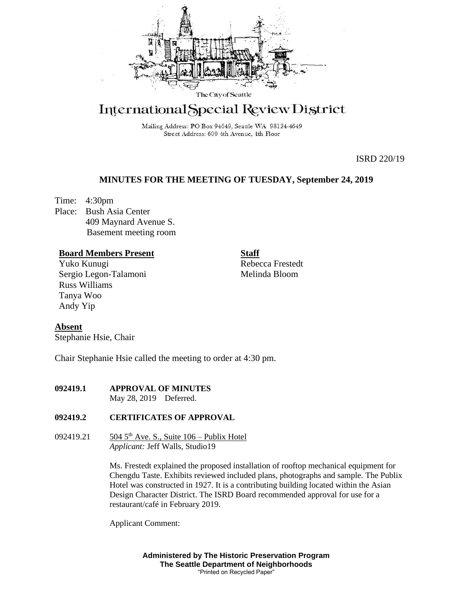

# International Special Review District

Mailing Address: PO Box 94649, Seattle WA 98124-4649 Street Address: 600 4th Avenue, 4th Floor

ISRD 220/19

## **MINUTES FOR THE MEETING OF TUESDAY, September 24, 2019**

Time: 4:30pm Place: Bush Asia Center 409 Maynard Avenue S. Basement meeting room

## **Board Members Present**

Yuko Kunugi Sergio Legon-Talamoni Russ Williams Tanya Woo Andy Yip

**Staff** Rebecca Frestedt Melinda Bloom

## **Absent**

Stephanie Hsie, Chair

Chair Stephanie Hsie called the meeting to order at 4:30 pm.

## **092419.1 APPROVAL OF MINUTES**

May 28, 2019 Deferred.

## **092419.2 CERTIFICATES OF APPROVAL**

092419.21  $\frac{504 \, 5^{th} \text{ Ave. S.}}{504 \, 5^{th} \text{ Ave.}}$  Suite  $106 - \text{Publix Hotel}$ *Applicant:* Jeff Walls, Studio19

> Ms. Frestedt explained the proposed installation of rooftop mechanical equipment for Chengdu Taste. Exhibits reviewed included plans, photographs and sample. The Publix Hotel was constructed in 1927. It is a contributing building located within the Asian Design Character District. The ISRD Board recommended approval for use for a restaurant/café in February 2019.

Applicant Comment:

**Administered by The Historic Preservation Program The Seattle Department of Neighborhoods** "Printed on Recycled Paper"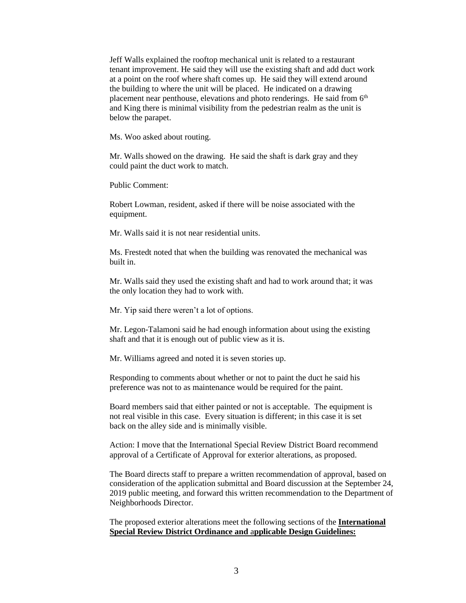Jeff Walls explained the rooftop mechanical unit is related to a restaurant tenant improvement. He said they will use the existing shaft and add duct work at a point on the roof where shaft comes up. He said they will extend around the building to where the unit will be placed. He indicated on a drawing placement near penthouse, elevations and photo renderings. He said from 6<sup>th</sup> and King there is minimal visibility from the pedestrian realm as the unit is below the parapet.

Ms. Woo asked about routing.

Mr. Walls showed on the drawing. He said the shaft is dark gray and they could paint the duct work to match.

Public Comment:

Robert Lowman, resident, asked if there will be noise associated with the equipment.

Mr. Walls said it is not near residential units.

Ms. Frestedt noted that when the building was renovated the mechanical was built in.

Mr. Walls said they used the existing shaft and had to work around that; it was the only location they had to work with.

Mr. Yip said there weren't a lot of options.

Mr. Legon-Talamoni said he had enough information about using the existing shaft and that it is enough out of public view as it is.

Mr. Williams agreed and noted it is seven stories up.

Responding to comments about whether or not to paint the duct he said his preference was not to as maintenance would be required for the paint.

Board members said that either painted or not is acceptable. The equipment is not real visible in this case. Every situation is different; in this case it is set back on the alley side and is minimally visible.

Action: I move that the International Special Review District Board recommend approval of a Certificate of Approval for exterior alterations, as proposed.

The Board directs staff to prepare a written recommendation of approval, based on consideration of the application submittal and Board discussion at the September 24, 2019 public meeting, and forward this written recommendation to the Department of Neighborhoods Director.

The proposed exterior alterations meet the following sections of the **International Special Review District Ordinance and** a**pplicable Design Guidelines:**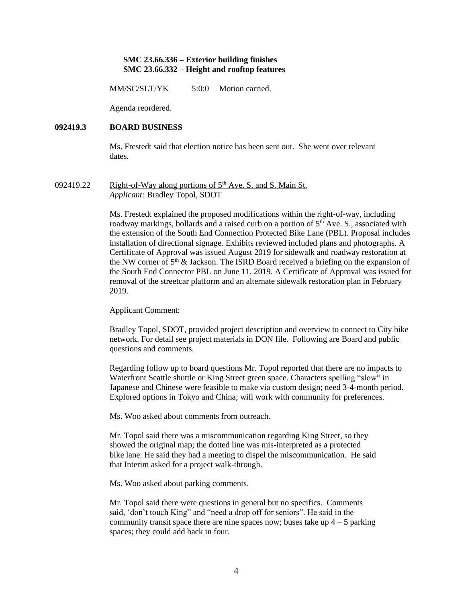#### **SMC 23.66.336 – Exterior building finishes SMC 23.66.332 – Height and rooftop features**

MM/SC/SLT/YK 5:0:0 Motion carried.

Agenda reordered.

#### **092419.3 BOARD BUSINESS**

Ms. Frestedt said that election notice has been sent out. She went over relevant dates.

092419.22 Right-of-Way along portions of  $5<sup>th</sup>$  Ave. S. and S. Main St. *Applicant:* Bradley Topol, SDOT

> Ms. Frestedt explained the proposed modifications within the right-of-way, including roadway markings, bollards and a raised curb on a portion of  $5<sup>th</sup>$  Ave. S., associated with the extension of the South End Connection Protected Bike Lane (PBL). Proposal includes installation of directional signage. Exhibits reviewed included plans and photographs. A Certificate of Approval was issued August 2019 for sidewalk and roadway restoration at the NW corner of  $5<sup>th</sup>$  & Jackson. The ISRD Board received a briefing on the expansion of the South End Connector PBL on June 11, 2019. A Certificate of Approval was issued for removal of the streetcar platform and an alternate sidewalk restoration plan in February 2019.

Applicant Comment:

Bradley Topol, SDOT, provided project description and overview to connect to City bike network. For detail see project materials in DON file. Following are Board and public questions and comments.

Regarding follow up to board questions Mr. Topol reported that there are no impacts to Waterfront Seattle shuttle or King Street green space. Characters spelling "slow" in Japanese and Chinese were feasible to make via custom design; need 3-4-month period. Explored options in Tokyo and China; will work with community for preferences.

Ms. Woo asked about comments from outreach.

Mr. Topol said there was a miscommunication regarding King Street, so they showed the original map; the dotted line was mis-interpreted as a protected bike lane. He said they had a meeting to dispel the miscommunication. He said that Interim asked for a project walk-through.

Ms. Woo asked about parking comments.

Mr. Topol said there were questions in general but no specifics. Comments said, 'don't touch King" and "need a drop off for seniors". He said in the community transit space there are nine spaces now; buses take up  $4 - 5$  parking spaces; they could add back in four.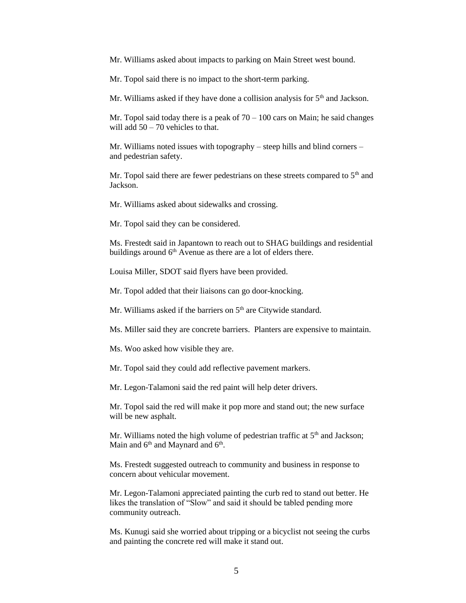Mr. Williams asked about impacts to parking on Main Street west bound.

Mr. Topol said there is no impact to the short-term parking.

Mr. Williams asked if they have done a collision analysis for  $5<sup>th</sup>$  and Jackson.

Mr. Topol said today there is a peak of  $70 - 100$  cars on Main; he said changes will add  $50 - 70$  vehicles to that.

Mr. Williams noted issues with topography – steep hills and blind corners – and pedestrian safety.

Mr. Topol said there are fewer pedestrians on these streets compared to 5<sup>th</sup> and Jackson.

Mr. Williams asked about sidewalks and crossing.

Mr. Topol said they can be considered.

Ms. Frestedt said in Japantown to reach out to SHAG buildings and residential buildings around  $6<sup>th</sup>$  Avenue as there are a lot of elders there.

Louisa Miller, SDOT said flyers have been provided.

Mr. Topol added that their liaisons can go door-knocking.

Mr. Williams asked if the barriers on 5<sup>th</sup> are Citywide standard.

Ms. Miller said they are concrete barriers. Planters are expensive to maintain.

Ms. Woo asked how visible they are.

Mr. Topol said they could add reflective pavement markers.

Mr. Legon-Talamoni said the red paint will help deter drivers.

Mr. Topol said the red will make it pop more and stand out; the new surface will be new asphalt.

Mr. Williams noted the high volume of pedestrian traffic at  $5<sup>th</sup>$  and Jackson; Main and  $6<sup>th</sup>$  and Maynard and  $6<sup>th</sup>$ .

Ms. Frestedt suggested outreach to community and business in response to concern about vehicular movement.

Mr. Legon-Talamoni appreciated painting the curb red to stand out better. He likes the translation of "Slow" and said it should be tabled pending more community outreach.

Ms. Kunugi said she worried about tripping or a bicyclist not seeing the curbs and painting the concrete red will make it stand out.